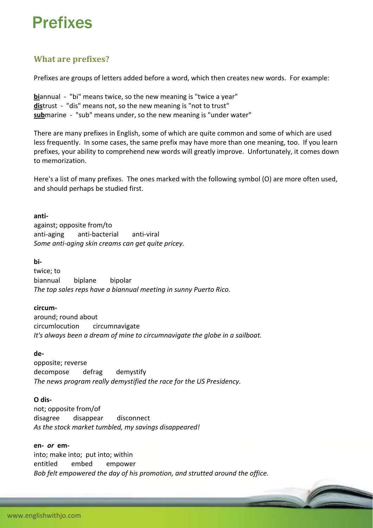# Prefixes

# **What are prefixes?**

Prefixes are groups of letters added before a word, which then creates new words. For example:

**biannual** - "bi" means twice, so the new meaning is "twice a year" distrust - "dis" means not, so the new meaning is "not to trust" submarine - "sub" means under, so the new meaning is "under water"

There are many prefixes in English, some of which are quite common and some of which are used less frequently. In some cases, the same prefix may have more than one meaning, too. If you learn prefixes, your ability to comprehend new words will greatly improve. Unfortunately, it comes down to memorization.

Here's a list of many prefixes. The ones marked with the following symbol (O) are more often used, and should perhaps be studied first.

**anti‐** against; opposite from/to anti‐aging anti‐bacterial anti‐viral *Some anti‐aging skin creams can get quite pricey.*

**bi‐**

twice; to biannual biplane bipolar *The top sales reps have a biannual meeting in sunny Puerto Rico.*

**circum‐**

around; round about circumlocution circumnavigate *It's always been a dream of mine to circumnavigate the globe in a sailboat.*

**de‐**

opposite; reverse decompose defrag demystify *The news program really demystified the race for the US Presidency.*

**O dis‐**

not; opposite from/of disagree disappear disconnect *As the stock market tumbled, my savings disappeared!*

**en‐** *or* **em‐**

into; make into; put into; within entitled embed empower *Bob felt empowered the day of his promotion, and strutted around the office.*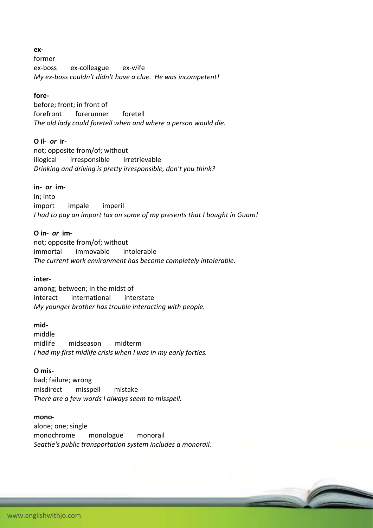**ex‐**

former ex‐boss ex‐colleague ex‐wife *My ex‐boss couldn't didn't have a clue. He was incompetent!*

# **fore‐**

before; front; in front of forefront forerunner foretell *The old lady could foretell when and where a person would die.*

# **O il‐** *or* **ir‐**

not; opposite from/of; without illogical irresponsible irretrievable *Drinking and driving is pretty irresponsible, don't you think?*

# **in‐** *or* **im‐**

in; into import impale imperil *I had to pay an import tax on some of my presents that I bought in Guam!*

# **O in‐** *or* **im‐**

not; opposite from/of; without immortal immovable intolerable *The current work environment has become completely intolerable.*

#### **inter‐**

among; between; in the midst of interact international interstate *My younger brother has trouble interacting with people.*

#### **mid‐**

middle midlife midseason midterm *I had my first midlife crisis when I was in my early forties.*

### **O mis‐**

bad; failure; wrong misdirect misspell mistake *There are a few words I always seem to misspell.*

#### **mono‐**

alone; one; single monochrome monologue monorail *Seattle's public transportation system includes a monorail.*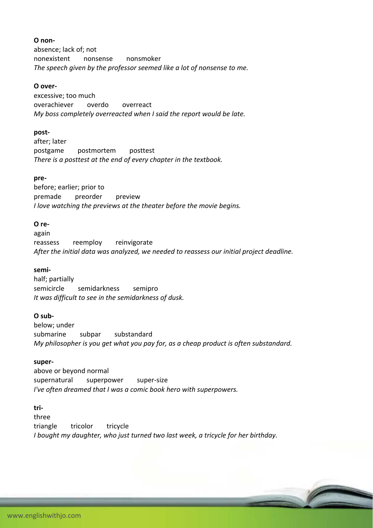# **O non‐**

absence; lack of; not nonexistent nonsense nonsmoker *The speech given by the professor seemed like a lot of nonsense to me.*

# **O over‐**

excessive; too much overachiever overdo overreact *My boss completely overreacted when I said the report would be late.*

# **post‐**

after; later postgame postmortem posttest *There is a posttest at the end of every chapter in the textbook.*

# **pre‐**

before; earlier; prior to premade preorder preview *I love watching the previews at the theater before the movie begins.*

# **O re‐**

again reassess reemploy reinvigorate *After the initial data was analyzed, we needed to reassess our initial project deadline.*

#### **semi‐**

half; partially semicircle semidarkness semipro *It was difficult to see in the semidarkness of dusk.*

#### **O sub‐**

below; under submarine subpar substandard *My philosopher is you get what you pay for, as a cheap product is often substandard.*

#### **super‐**

above or beyond normal supernatural superpower super-size *I've often dreamed that I was a comic book hero with superpowers.*

# **tri‐**

three triangle tricolor tricycle *I bought my daughter, who just turned two last week, a tricycle for her birthday.*